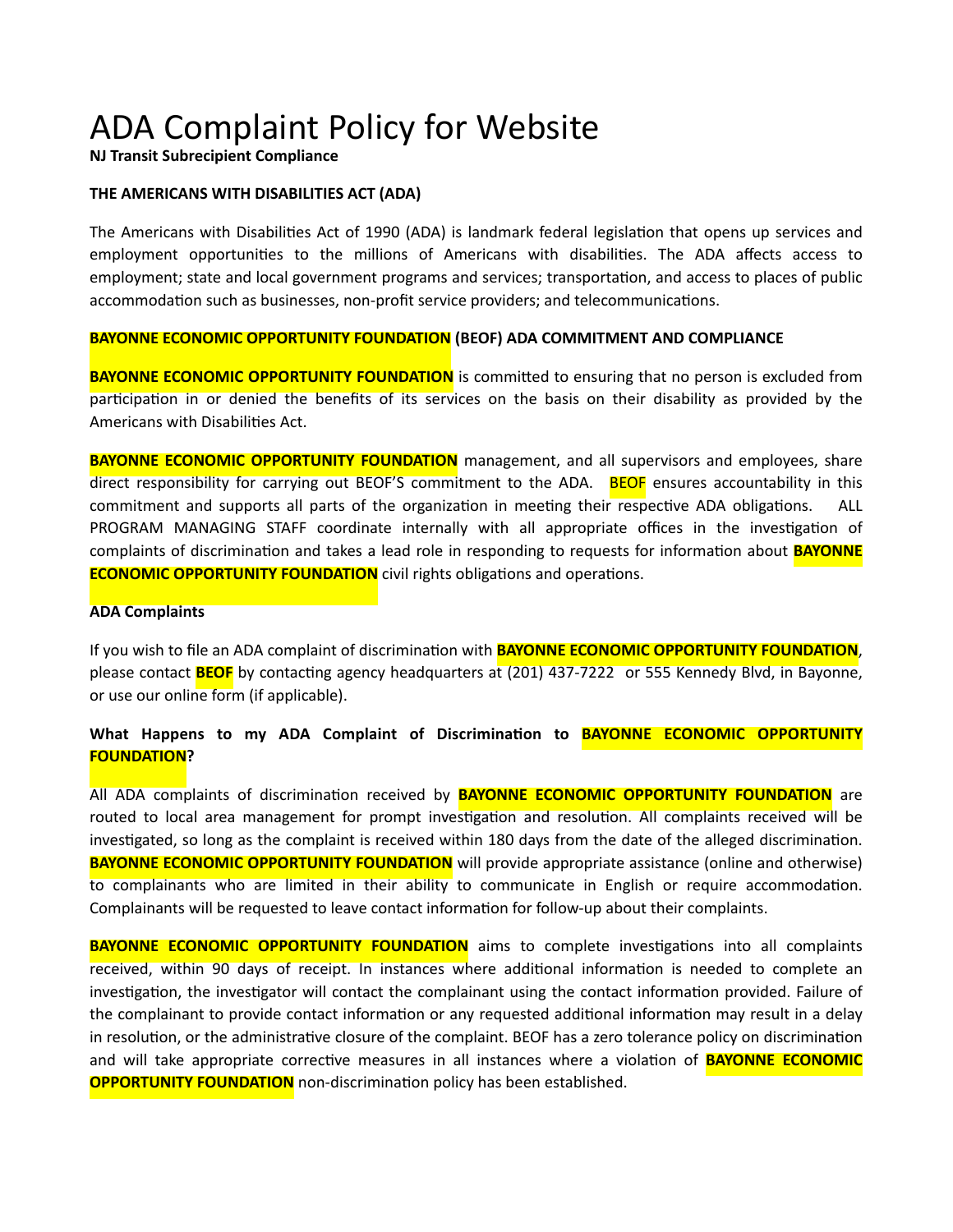**NJ Transit Subrecipient Compliance**

#### **THE AMERICANS WITH DISABILITIES ACT (ADA)**

The Americans with Disabilities Act of 1990 (ADA) is landmark federal legislation that opens up services and employment opportunities to the millions of Americans with disabilities. The ADA affects access to employment; state and local government programs and services; transportation, and access to places of public accommodation such as businesses, non-profit service providers; and telecommunications.

#### **BAYONNE ECONOMIC OPPORTUNITY FOUNDATION (BEOF) ADA COMMITMENT AND COMPLIANCE**

**BAYONNE ECONOMIC OPPORTUNITY FOUNDATION** is committed to ensuring that no person is excluded from participation in or denied the benefits of its services on the basis on their disability as provided by the Americans with Disabilities Act.

**BAYONNE ECONOMIC OPPORTUNITY FOUNDATION** management, and all supervisors and employees, share direct responsibility for carrying out BEOF'S commitment to the ADA. BEOF ensures accountability in this commitment and supports all parts of the organization in meeting their respective ADA obligations. ALL PROGRAM MANAGING STAFF coordinate internally with all appropriate offices in the investigation of complaints of discrimination and takes a lead role in responding to requests for information about **BAYONNE ECONOMIC OPPORTUNITY FOUNDATION** civil rights obligations and operations.

#### **ADA Complaints**

If you wish to file an ADA complaint of discrimination with **BAYONNE ECONOMIC OPPORTUNITY FOUNDATION**, please contact **BEOF** by contacting agency headquarters at (201) 437-7222 or 555 Kennedy Blvd, in Bayonne, or use our online form (if applicable).

### **What Happens to my ADA Complaint of Discrimination to BAYONNE ECONOMIC OPPORTUNITY FOUNDATION?**

All ADA complaints of discrimination received by **BAYONNE ECONOMIC OPPORTUNITY FOUNDATION** are routed to local area management for prompt investigation and resolution. All complaints received will be investigated, so long as the complaint is received within 180 days from the date of the alleged discrimination. **BAYONNE ECONOMIC OPPORTUNITY FOUNDATION** will provide appropriate assistance (online and otherwise) to complainants who are limited in their ability to communicate in English or require accommodation. Complainants will be requested to leave contact information for follow-up about their complaints.

**BAYONNE ECONOMIC OPPORTUNITY FOUNDATION** aims to complete investigations into all complaints received, within 90 days of receipt. In instances where additional information is needed to complete an investigation, the investigator will contact the complainant using the contact information provided. Failure of the complainant to provide contact information or any requested additional information may result in a delay in resolution, or the administrative closure of the complaint. BEOF has a zero tolerance policy on discrimination and will take appropriate corrective measures in all instances where a violation of **BAYONNE ECONOMIC OPPORTUNITY FOUNDATION** non-discrimination policy has been established.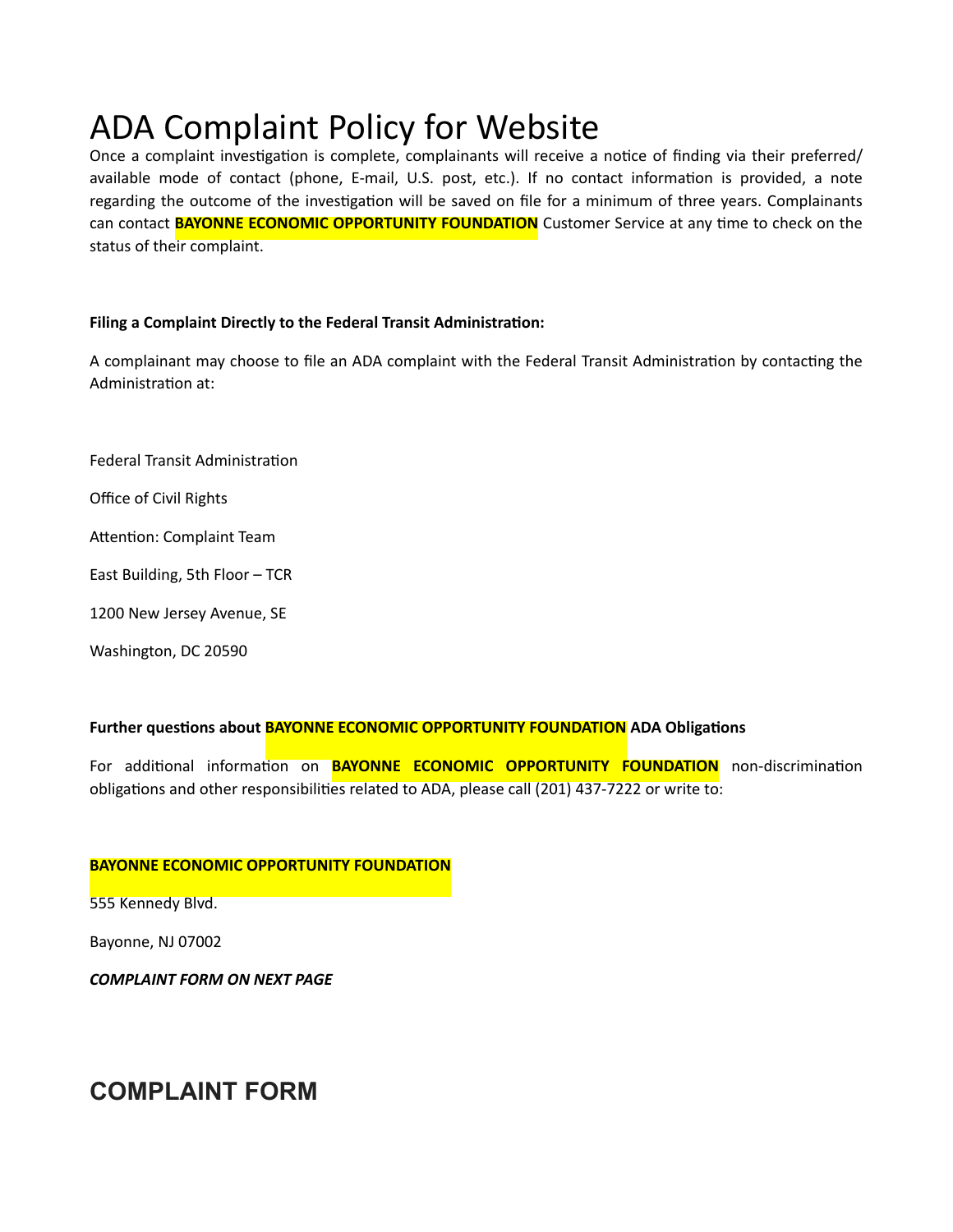Once a complaint investigation is complete, complainants will receive a notice of finding via their preferred/ available mode of contact (phone, E-mail, U.S. post, etc.). If no contact information is provided, a note regarding the outcome of the investigation will be saved on file for a minimum of three years. Complainants can contact **BAYONNE ECONOMIC OPPORTUNITY FOUNDATION** Customer Service at any time to check on the status of their complaint.

### **Filing a Complaint Directly to the Federal Transit Administration:**

A complainant may choose to file an ADA complaint with the Federal Transit Administration by contacting the Administration at:

Federal Transit Administration

Office of Civil Rights

Attention: Complaint Team

East Building, 5th Floor – TCR

1200 New Jersey Avenue, SE

Washington, DC 20590

#### **Further questions about BAYONNE ECONOMIC OPPORTUNITY FOUNDATION ADA Obligations**

For additional information on **BAYONNE ECONOMIC OPPORTUNITY FOUNDATION** non-discrimination obligations and other responsibilities related to ADA, please call (201) 437-7222 or write to:

#### **BAYONNE ECONOMIC OPPORTUNITY FOUNDATION**

555 Kennedy Blvd.

Bayonne, NJ 07002

*COMPLAINT FORM ON NEXT PAGE*

### **COMPLAINT FORM**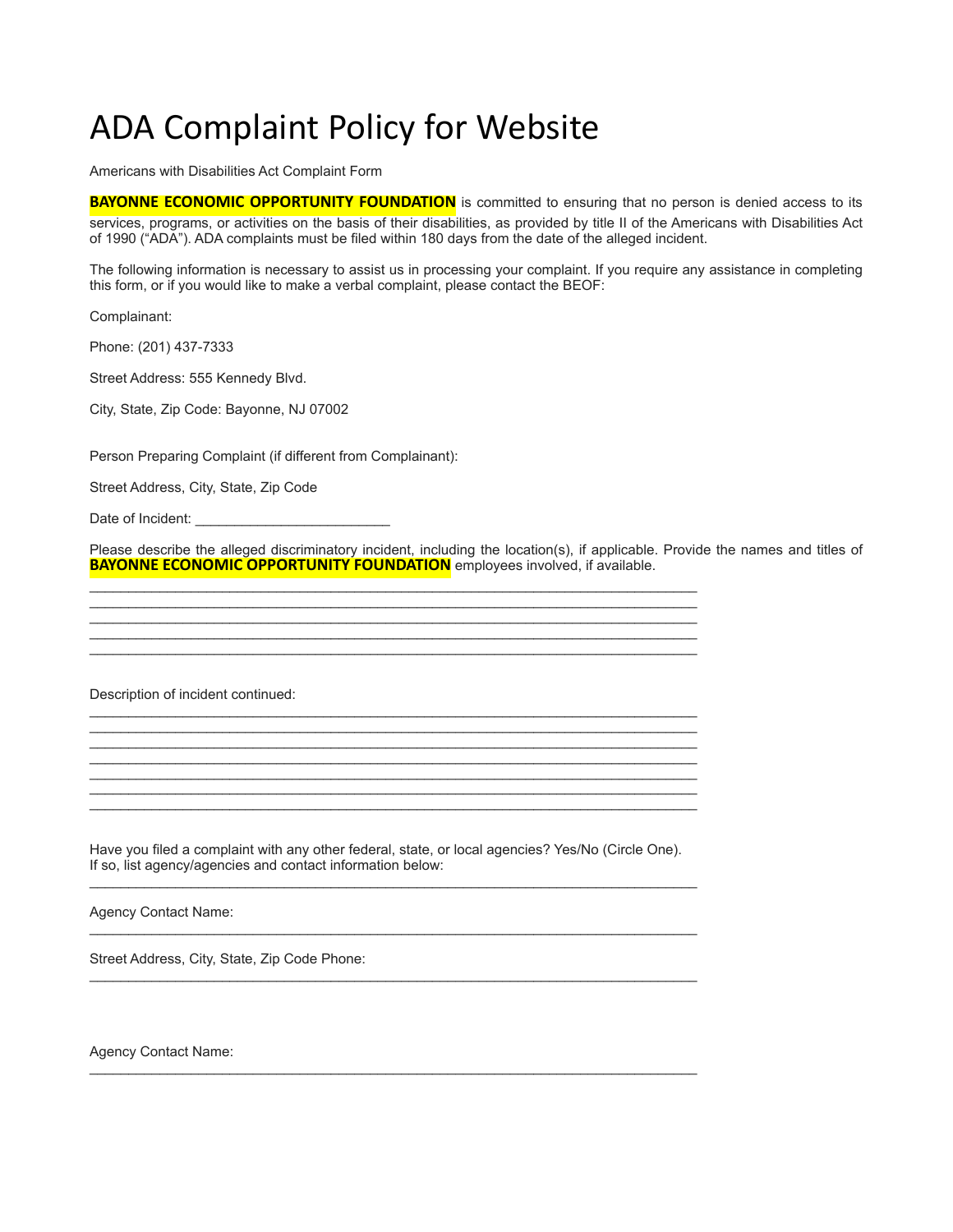Americans with Disabilities Act Complaint Form

**BAYONNE ECONOMIC OPPORTUNITY FOUNDATION** is committed to ensuring that no person is denied access to its services, programs, or activities on the basis of their disabilities, as provided by title II of the Americans with Disabilities Act of 1990 ("ADA"). ADA complaints must be filed within 180 days from the date of the alleged incident.

The following information is necessary to assist us in processing your complaint. If you require any assistance in completing this form, or if you would like to make a verbal complaint, please contact the BEOF:

Complainant:

Phone: (201) 437-7333

Street Address: 555 Kennedy Blvd.

City, State, Zip Code: Bayonne, NJ 07002

Person Preparing Complaint (if different from Complainant):

Street Address, City, State, Zip Code

Date of Incident:

Please describe the alleged discriminatory incident, including the location(s), if applicable. Provide the names and titles of **BAYONNE ECONOMIC OPPORTUNITY FOUNDATION** employees involved, if available.

Description of incident continued:

Have you filed a complaint with any other federal, state, or local agencies? Yes/No (Circle One). If so, list agency/agencies and contact information below: \_\_\_\_\_\_\_\_\_\_\_\_\_\_\_\_\_\_\_\_\_\_\_\_\_\_\_\_\_\_\_\_\_\_\_\_\_\_\_\_\_\_\_\_\_\_\_\_\_\_\_\_\_\_\_\_\_\_\_\_\_\_\_\_\_\_\_\_\_\_\_\_\_\_\_\_\_\_

\_\_\_\_\_\_\_\_\_\_\_\_\_\_\_\_\_\_\_\_\_\_\_\_\_\_\_\_\_\_\_\_\_\_\_\_\_\_\_\_\_\_\_\_\_\_\_\_\_\_\_\_\_\_\_\_\_\_\_\_\_\_\_\_\_\_\_\_\_\_\_\_\_\_\_\_\_\_

\_\_\_\_\_\_\_\_\_\_\_\_\_\_\_\_\_\_\_\_\_\_\_\_\_\_\_\_\_\_\_\_\_\_\_\_\_\_\_\_\_\_\_\_\_\_\_\_\_\_\_\_\_\_\_\_\_\_\_\_\_\_\_\_\_\_\_\_\_\_\_\_\_\_\_\_\_\_

\_\_\_\_\_\_\_\_\_\_\_\_\_\_\_\_\_\_\_\_\_\_\_\_\_\_\_\_\_\_\_\_\_\_\_\_\_\_\_\_\_\_\_\_\_\_\_\_\_\_\_\_\_\_\_\_\_\_\_\_\_\_\_\_\_\_\_\_\_\_\_\_\_\_\_\_\_\_

\_\_\_\_\_\_\_\_\_\_\_\_\_\_\_\_\_\_\_\_\_\_\_\_\_\_\_\_\_\_\_\_\_\_\_\_\_\_\_\_\_\_\_\_\_\_\_\_\_\_\_\_\_\_\_\_\_\_\_\_\_\_\_\_\_\_\_\_\_\_\_\_\_\_\_\_\_\_ \_\_\_\_\_\_\_\_\_\_\_\_\_\_\_\_\_\_\_\_\_\_\_\_\_\_\_\_\_\_\_\_\_\_\_\_\_\_\_\_\_\_\_\_\_\_\_\_\_\_\_\_\_\_\_\_\_\_\_\_\_\_\_\_\_\_\_\_\_\_\_\_\_\_\_\_\_\_ \_\_\_\_\_\_\_\_\_\_\_\_\_\_\_\_\_\_\_\_\_\_\_\_\_\_\_\_\_\_\_\_\_\_\_\_\_\_\_\_\_\_\_\_\_\_\_\_\_\_\_\_\_\_\_\_\_\_\_\_\_\_\_\_\_\_\_\_\_\_\_\_\_\_\_\_\_\_ \_\_\_\_\_\_\_\_\_\_\_\_\_\_\_\_\_\_\_\_\_\_\_\_\_\_\_\_\_\_\_\_\_\_\_\_\_\_\_\_\_\_\_\_\_\_\_\_\_\_\_\_\_\_\_\_\_\_\_\_\_\_\_\_\_\_\_\_\_\_\_\_\_\_\_\_\_\_ \_\_\_\_\_\_\_\_\_\_\_\_\_\_\_\_\_\_\_\_\_\_\_\_\_\_\_\_\_\_\_\_\_\_\_\_\_\_\_\_\_\_\_\_\_\_\_\_\_\_\_\_\_\_\_\_\_\_\_\_\_\_\_\_\_\_\_\_\_\_\_\_\_\_\_\_\_\_

\_\_\_\_\_\_\_\_\_\_\_\_\_\_\_\_\_\_\_\_\_\_\_\_\_\_\_\_\_\_\_\_\_\_\_\_\_\_\_\_\_\_\_\_\_\_\_\_\_\_\_\_\_\_\_\_\_\_\_\_\_\_\_\_\_\_\_\_\_\_\_\_\_\_\_\_\_\_ \_\_\_\_\_\_\_\_\_\_\_\_\_\_\_\_\_\_\_\_\_\_\_\_\_\_\_\_\_\_\_\_\_\_\_\_\_\_\_\_\_\_\_\_\_\_\_\_\_\_\_\_\_\_\_\_\_\_\_\_\_\_\_\_\_\_\_\_\_\_\_\_\_\_\_\_\_\_ \_\_\_\_\_\_\_\_\_\_\_\_\_\_\_\_\_\_\_\_\_\_\_\_\_\_\_\_\_\_\_\_\_\_\_\_\_\_\_\_\_\_\_\_\_\_\_\_\_\_\_\_\_\_\_\_\_\_\_\_\_\_\_\_\_\_\_\_\_\_\_\_\_\_\_\_\_\_ \_\_\_\_\_\_\_\_\_\_\_\_\_\_\_\_\_\_\_\_\_\_\_\_\_\_\_\_\_\_\_\_\_\_\_\_\_\_\_\_\_\_\_\_\_\_\_\_\_\_\_\_\_\_\_\_\_\_\_\_\_\_\_\_\_\_\_\_\_\_\_\_\_\_\_\_\_\_ \_\_\_\_\_\_\_\_\_\_\_\_\_\_\_\_\_\_\_\_\_\_\_\_\_\_\_\_\_\_\_\_\_\_\_\_\_\_\_\_\_\_\_\_\_\_\_\_\_\_\_\_\_\_\_\_\_\_\_\_\_\_\_\_\_\_\_\_\_\_\_\_\_\_\_\_\_\_ \_\_\_\_\_\_\_\_\_\_\_\_\_\_\_\_\_\_\_\_\_\_\_\_\_\_\_\_\_\_\_\_\_\_\_\_\_\_\_\_\_\_\_\_\_\_\_\_\_\_\_\_\_\_\_\_\_\_\_\_\_\_\_\_\_\_\_\_\_\_\_\_\_\_\_\_\_\_ \_\_\_\_\_\_\_\_\_\_\_\_\_\_\_\_\_\_\_\_\_\_\_\_\_\_\_\_\_\_\_\_\_\_\_\_\_\_\_\_\_\_\_\_\_\_\_\_\_\_\_\_\_\_\_\_\_\_\_\_\_\_\_\_\_\_\_\_\_\_\_\_\_\_\_\_\_\_

Agency Contact Name:

Street Address, City, State, Zip Code Phone:

Agency Contact Name: